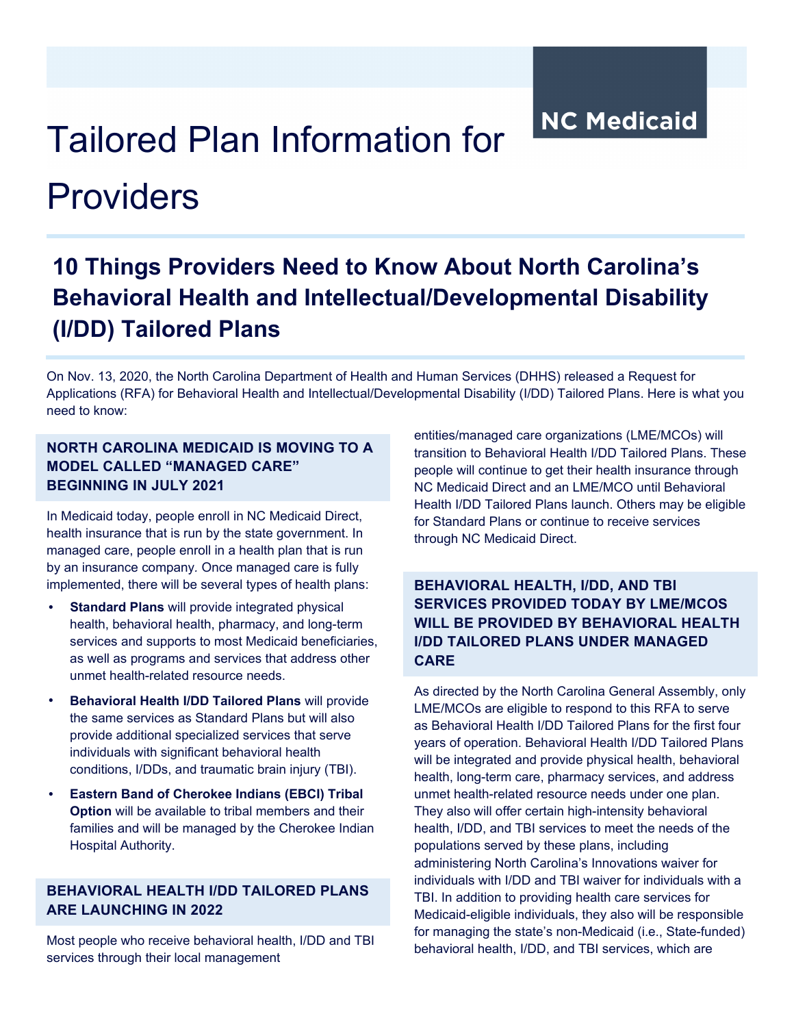**NC Medicaid** 

# Tailored Plan Information for

## Providers

### **10 Things Providers Need to Know About North Carolina's Behavioral Health and Intellectual/Developmental Disability (I/DD) Tailored Plans**

On Nov. 13, 2020, the North Carolina Department of Health and Human Services (DHHS) released a Request for Applications (RFA) for Behavioral Health and Intellectual/Developmental Disability (I/DD) Tailored Plans. Here is what you need to know:

#### **NORTH CAROLINA MEDICAID IS MOVING TO A MODEL CALLED "MANAGED CARE" BEGINNING IN JULY 2021**

In Medicaid today, people enroll in NC Medicaid Direct, health insurance that is run by the state government. In managed care, people enroll in a health plan that is run by an insurance company*.* Once managed care is fully implemented, there will be several types of health plans:

- **Standard Plans** will provide integrated physical health, behavioral health, pharmacy, and long-term services and supports to most Medicaid beneficiaries, as well as programs and services that address other unmet health-related resource needs.
- **Behavioral Health I/DD Tailored Plans** will provide the same services as Standard Plans but will also provide additional specialized services that serve individuals with significant behavioral health conditions, I/DDs, and traumatic brain injury (TBI).
- **Eastern Band of Cherokee Indians (EBCI) Tribal Option** will be available to tribal members and their families and will be managed by the Cherokee Indian Hospital Authority.

#### **BEHAVIORAL HEALTH I/DD TAILORED PLANS ARE LAUNCHING IN 2022**

Most people who receive behavioral health, I/DD and TBI services through their local management

entities/managed care organizations (LME/MCOs) will transition to Behavioral Health I/DD Tailored Plans. These people will continue to get their health insurance through NC Medicaid Direct and an LME/MCO until Behavioral Health I/DD Tailored Plans launch. Others may be eligible for Standard Plans or continue to receive services through NC Medicaid Direct.

#### **BEHAVIORAL HEALTH, I/DD, AND TBI SERVICES PROVIDED TODAY BY LME/MCOS WILL BE PROVIDED BY BEHAVIORAL HEALTH I/DD TAILORED PLANS UNDER MANAGED CARE**

As directed by the North Carolina General Assembly, only LME/MCOs are eligible to respond to this RFA to serve as Behavioral Health I/DD Tailored Plans for the first four years of operation. Behavioral Health I/DD Tailored Plans will be integrated and provide physical health, behavioral health, long-term care, pharmacy services, and address unmet health-related resource needs under one plan. They also will offer certain high-intensity behavioral health, I/DD, and TBI services to meet the needs of the populations served by these plans, including administering North Carolina's Innovations waiver for individuals with I/DD and TBI waiver for individuals with a TBI. In addition to providing health care services for Medicaid-eligible individuals, they also will be responsible for managing the state's non-Medicaid (i.e., State-funded) behavioral health, I/DD, and TBI services, which are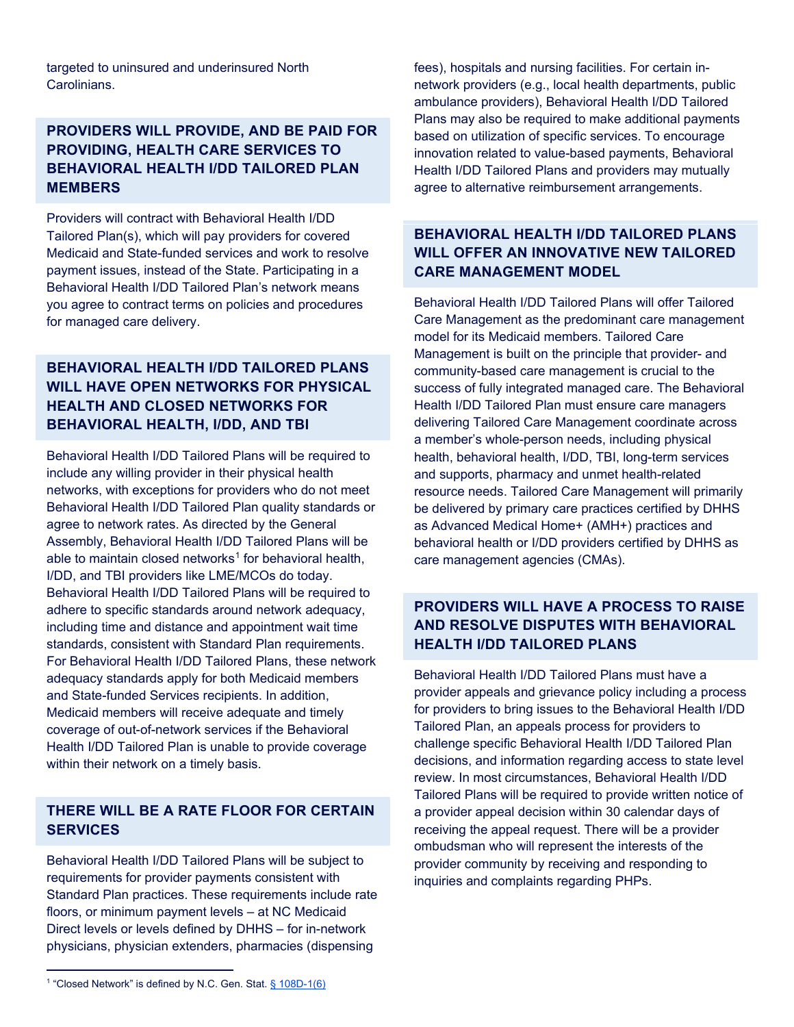targeted to uninsured and underinsured North Carolinians.

#### **PROVIDERS WILL PROVIDE, AND BE PAID FOR PROVIDING, HEALTH CARE SERVICES TO BEHAVIORAL HEALTH I/DD TAILORED PLAN MEMBERS**

Providers will contract with Behavioral Health I/DD Tailored Plan(s), which will pay providers for covered Medicaid and State-funded services and work to resolve payment issues, instead of the State. Participating in a Behavioral Health I/DD Tailored Plan's network means you agree to contract terms on policies and procedures for managed care delivery.

#### **BEHAVIORAL HEALTH I/DD TAILORED PLANS WILL HAVE OPEN NETWORKS FOR PHYSICAL HEALTH AND CLOSED NETWORKS FOR BEHAVIORAL HEALTH, I/DD, AND TBI**

Behavioral Health I/DD Tailored Plans will be required to include any willing provider in their physical health networks, with exceptions for providers who do not meet Behavioral Health I/DD Tailored Plan quality standards or agree to network rates. As directed by the General Assembly, Behavioral Health I/DD Tailored Plans will be able to maintain closed networks<sup>[1](#page-1-0)</sup> for behavioral health. I/DD, and TBI providers like LME/MCOs do today. Behavioral Health I/DD Tailored Plans will be required to adhere to specific standards around network adequacy, including time and distance and appointment wait time standards, consistent with Standard Plan requirements. For Behavioral Health I/DD Tailored Plans, these network adequacy standards apply for both Medicaid members and State-funded Services recipients. In addition, Medicaid members will receive adequate and timely coverage of out-of-network services if the Behavioral Health I/DD Tailored Plan is unable to provide coverage within their network on a timely basis.

#### **THERE WILL BE A RATE FLOOR FOR CERTAIN SERVICES**

Behavioral Health I/DD Tailored Plans will be subject to requirements for provider payments consistent with Standard Plan practices. These requirements include rate floors, or minimum payment levels – at NC Medicaid Direct levels or levels defined by DHHS – for in-network physicians, physician extenders, pharmacies (dispensing

fees), hospitals and nursing facilities. For certain innetwork providers (e.g., local health departments, public ambulance providers), Behavioral Health I/DD Tailored Plans may also be required to make additional payments based on utilization of specific services. To encourage innovation related to value-based payments, Behavioral Health I/DD Tailored Plans and providers may mutually agree to alternative reimbursement arrangements.

#### **BEHAVIORAL HEALTH I/DD TAILORED PLANS WILL OFFER AN INNOVATIVE NEW TAILORED CARE MANAGEMENT MODEL**

Behavioral Health I/DD Tailored Plans will offer Tailored Care Management as the predominant care management model for its Medicaid members. Tailored Care Management is built on the principle that provider- and community-based care management is crucial to the success of fully integrated managed care. The Behavioral Health I/DD Tailored Plan must ensure care managers delivering Tailored Care Management coordinate across a member's whole-person needs, including physical health, behavioral health, I/DD, TBI, long-term services and supports, pharmacy and unmet health-related resource needs. Tailored Care Management will primarily be delivered by primary care practices certified by DHHS as Advanced Medical Home+ (AMH+) practices and behavioral health or I/DD providers certified by DHHS as care management agencies (CMAs).

#### **PROVIDERS WILL HAVE A PROCESS TO RAISE AND RESOLVE DISPUTES WITH BEHAVIORAL HEALTH I/DD TAILORED PLANS**

Behavioral Health I/DD Tailored Plans must have a provider appeals and grievance policy including a process for providers to bring issues to the Behavioral Health I/DD Tailored Plan, an appeals process for providers to challenge specific Behavioral Health I/DD Tailored Plan decisions, and information regarding access to state level review. In most circumstances, Behavioral Health I/DD Tailored Plans will be required to provide written notice of a provider appeal decision within 30 calendar days of receiving the appeal request. There will be a provider ombudsman who will represent the interests of the provider community by receiving and responding to inquiries and complaints regarding PHPs.

<span id="page-1-0"></span><sup>&</sup>lt;sup>1</sup> "Closed Network" is defined by N.C. Gen. Stat[. § 108D-1\(6\)](https://www.ncleg.gov/EnactedLegislation/Statutes/PDF/BySection/Chapter_108D/GS_108D-1.pdf)